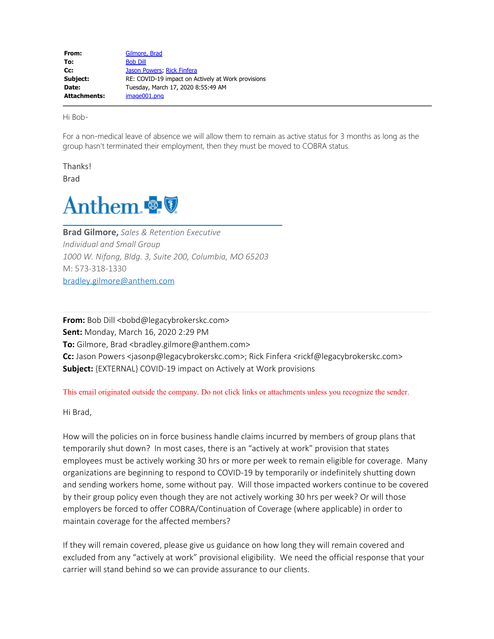| From:               | Gilmore, Brad                                      |
|---------------------|----------------------------------------------------|
| To:                 | <b>Bob Dill</b>                                    |
| $Cc$ :              | Jason Powers, Rick Finfera                         |
| Subject:            | RE: COVID-19 impact on Actively at Work provisions |
| Date:               | Tuesday, March 17, 2020 8:55:49 AM                 |
| <b>Attachments:</b> | image001.png                                       |

Hi Bob-

For a non-medical leave of absence we will allow them to remain as active status for 3 months as long as the group hasn't terminated their employment, then they must be moved to COBRA status.

Thanks! Brad



**Brad Gilmore,** *Sales & Retention Executive Individual and Small Group 1000 W. Nifong, Bldg. 3, Suite 200, Columbia, MO 65203* M: 573-318-1330 [bradley.gilmore@anthem.com](mailto:bradley.gilmore@anthem.com)

**From:** Bob Dill <bobd@legacybrokerskc.com> **Sent:** Monday, March 16, 2020 2:29 PM **To:** Gilmore, Brad <bradley.gilmore@anthem.com> **Cc:** Jason Powers <jasonp@legacybrokerskc.com>; Rick Finfera <rickf@legacybrokerskc.com> **Subject:** {EXTERNAL} COVID-19 impact on Actively at Work provisions

This email originated outside the company. Do not click links or attachments unless you recognize the sender.

Hi Brad,

How will the policies on in force business handle claims incurred by members of group plans that temporarily shut down? In most cases, there is an "actively at work" provision that states employees must be actively working 30 hrs or more per week to remain eligible for coverage. Many organizations are beginning to respond to COVID-19 by temporarily or indefinitely shutting down and sending workers home, some without pay. Will those impacted workers continue to be covered by their group policy even though they are not actively working 30 hrs per week? Or will those employers be forced to offer COBRA/Continuation of Coverage (where applicable) in order to maintain coverage for the affected members?

If they will remain covered, please give us guidance on how long they will remain covered and excluded from any "actively at work" provisional eligibility. We need the official response that your carrier will stand behind so we can provide assurance to our clients.